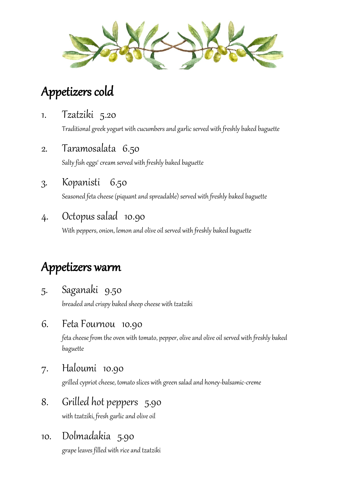

## Appetizers cold

1. Tzatziki 5.20

Traditional greek yogurt with cucumbers and garlic served with freshly baked baguette

2. Taramosalata 6.50

Salty fish eggs' cream served with freshly baked baguette

3. Kopanisti 6.50

Seasoned feta cheese (piquant and spreadable) served with freshly baked baguette

#### 4. Octopus salad 10.90

With peppers, onion, lemon and olive oil served with freshly baked baguette

## Appetizers warm

5. Saganaki 9.50

breaded and crispy baked sheep cheese with tzatziki

6. Feta Fournou 10.90

feta cheese from the oven with tomato, pepper, olive and olive oil served with freshly baked baguette

7. Haloumi 10.90

grilled cypriot cheese, tomato slices with green salad and honey-balsamic-creme

8. Grilled hot peppers 5.90

with tzatziki, fresh garlic and olive oil

10. Dolmadakia 5.90

grape leaves filled with rice and tzatziki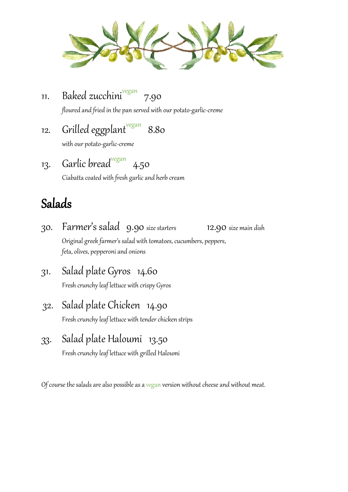

11. Baked zucchini<sup>vegan</sup> 7.90

floured and fried in the pan served with our potato-garlic-creme

12. Grilled eggplant<sup>vegan</sup> 8.80

with our potato-garlic-creme

13. Garlic bread<sup>vegan</sup> 4.50

Ciabatta coated with fresh garlic and herb cream

### Salads

- 30. Farmer's salad 9.90size starters 12.90 size main dish Original greek farmer's salad with tomatoes, cucumbers, peppers, feta, olives, pepperoni and onions
- 31. Salad plate Gyros 14.60 Fresh crunchy leaf lettuce with crispy Gyros
- 32. Salad plate Chicken 14.90 Fresh crunchy leaf lettuce with tender chicken strips
- 33. Salad plate Haloumi 13.50 Fresh crunchy leaf lettuce with grilled Haloumi

Of course the salads are also possible as a vegan version without cheese and without meat.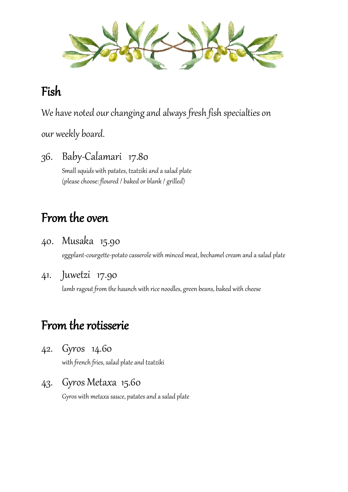

### Fish

We have noted our changing and always fresh fish specialties on

our weekly board.

36. Baby-Calamari 17.80 Small squids with patates, tzatziki and a salad plate (please choose: floured / baked or blank / grilled)

## From the oven

40. Musaka 15.90

eggplant-courgette-potato casserole with minced meat, bechamel cream and a salad plate

41. Juwetzi 17.90

lamb ragout from the haunch with rice noodles, green beans, baked with cheese

## From the rotisserie

42. Gyros 14.60

with french fries, salad plate and tzatziki

43. Gyros Metaxa 15.60

Gyros with metaxa sauce, patates and a salad plate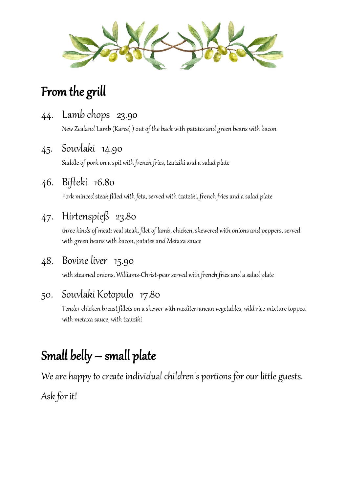

## From the grill

44. Lamb chops 23.90

New Zealand Lamb (Karee)) out of the back with patates and green beans with bacon

45. Souvlaki 14.90

Saddle of pork on a spit with french fries, tzatziki and a salad plate

46. Bifteki 16.80

Pork minced steak filled with feta, served with tzatziki, french fries and a salad plate

#### 47. Hirtenspieß 23.80

three kinds of meat: veal steak, filet of lamb, chicken, skewered with onions and peppers, served with green beans with bacon, patates and Metaxa sauce

#### 48. Bovine liver 15.90

with steamed onions, Williams-Christ-pear served with french fries and a salad plate

#### 50. Souvlaki Kotopulo 17.80

Tender chicken breast fillets on a skewer with mediterranean vegetables, wild rice mixture topped with metaxa sauce, with tzatziki

# Small belly – small plate

We are happy to create individual children's portions for our little guests.

Ask for it!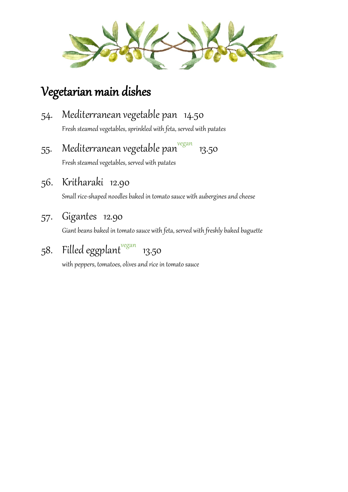

### Vegetarian main dishes

- 54. Mediterranean vegetable pan 14.50 Fresh steamed vegetables, sprinkled with feta, served with patates
- 55. Mediterranean vegetable pan<sup>vegan</sup> 13.50 Fresh steamed vegetables, served with patates
- 56. Kritharaki 12.90

Small rice-shaped noodles baked in tomato sauce with aubergines and cheese

57. Gigantes 12.90

Giant beans baked in tomato sauce with feta, served with freshly baked baguette

58. Filled eggplant<sup>vegan</sup> 13.50

with peppers, tomatoes, olives and rice in tomato sauce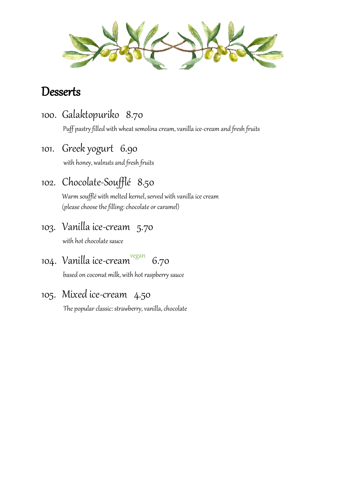

#### **Desserts**

100. Galaktopuriko 8.70

Puff pastry filled with wheat semolina cream, vanilla ice-cream and fresh fruits

101. Greek yogurt 6.90

with honey, walnuts and fresh fruits

102. Chocolate-Soufflé 8.50

Warm soufflé with melted kernel, served with vanilla ice cream (please choose the filling: chocolate or caramel)

103. Vanilla ice-cream 5.70

with hot chocolate sauce

104. Vanilla ice-cream<sup>vegan</sup> 6.70

based on coconut milk, with hot raspberry sauce

105. Mixed ice-cream 4.50

The popular classic: strawberry, vanilla, chocolate